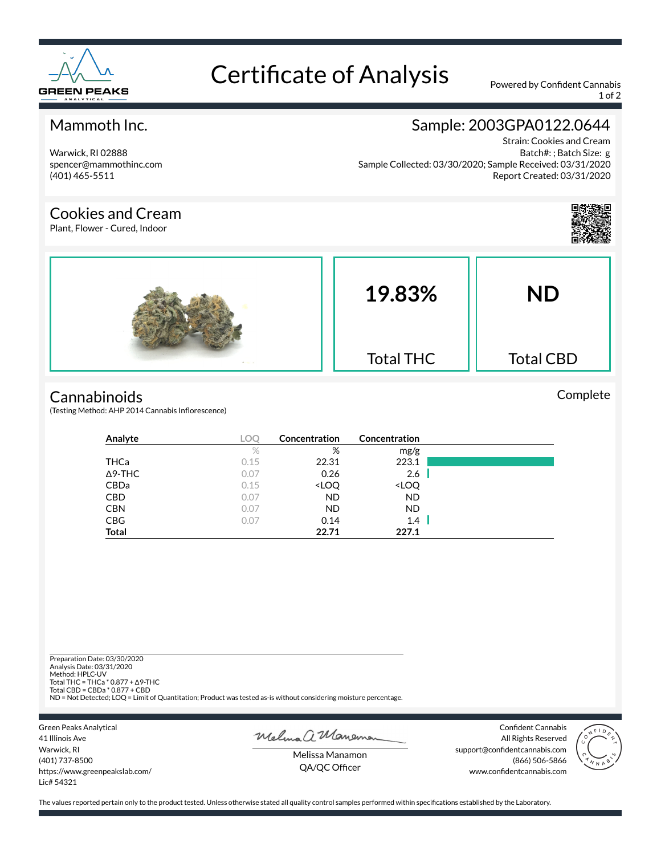

# Certificate of Analysis Powered by Confident Cannabis

1 of 2

#### Mammoth Inc.

Warwick, RI 02888 spencer@mammothinc.com (401) 465-5511

### Sample: 2003GPA0122.0644

Strain: Cookies and Cream Batch#: ; Batch Size: g Sample Collected: 03/30/2020; Sample Received: 03/31/2020 Report Created: 03/31/2020

#### Cookies and Cream

Plant, Flower - Cured, Indoor



Complete



# **Cannabinoids**

(Testing Method: AHP 2014 Cannabis Inflorescence)

| Analyte        | LOC  | Concentration                                            | Concentration                |  |
|----------------|------|----------------------------------------------------------|------------------------------|--|
|                | %    | %                                                        | mg/g                         |  |
| THCa           | 0.15 | 22.31                                                    | 223.1                        |  |
| $\Delta$ 9-THC | 0.07 | 0.26                                                     | 2.6                          |  |
| CBDa           | 0.15 | <loq< th=""><th><loq< th=""><th></th></loq<></th></loq<> | <loq< th=""><th></th></loq<> |  |
| <b>CBD</b>     | 0.07 | <b>ND</b>                                                | <b>ND</b>                    |  |
| <b>CBN</b>     | 0.07 | ND.                                                      | <b>ND</b>                    |  |
| <b>CBG</b>     | 0.07 | 0.14                                                     | 1.4                          |  |
| <b>Total</b>   |      | 22.71                                                    | 227.1                        |  |

Preparation Date: 03/30/2020 Analysis Date: 03/31/2020 Method: HPLC-UV Total THC = THCa \* 0.877 + ∆9-THC Total CBD = CBDa \* 0.877 + CBD ND = Not Detected; LOQ = Limit of Quantitation; Product was tested as-is without considering moisture percentage.

Green Peaks Analytical 41 Illinois Ave Warwick, RI (401) 737-8500 https://www.greenpeakslab.com/ Lic# 54321

Melma a Manemon

Confident Cannabis All Rights Reserved support@confidentcannabis.com (866) 506-5866 www.confidentcannabis.com



Melissa Manamon QA/QC Officer

The values reported pertain only to the product tested. Unless otherwise stated all quality control samples performed within specifications established by the Laboratory.